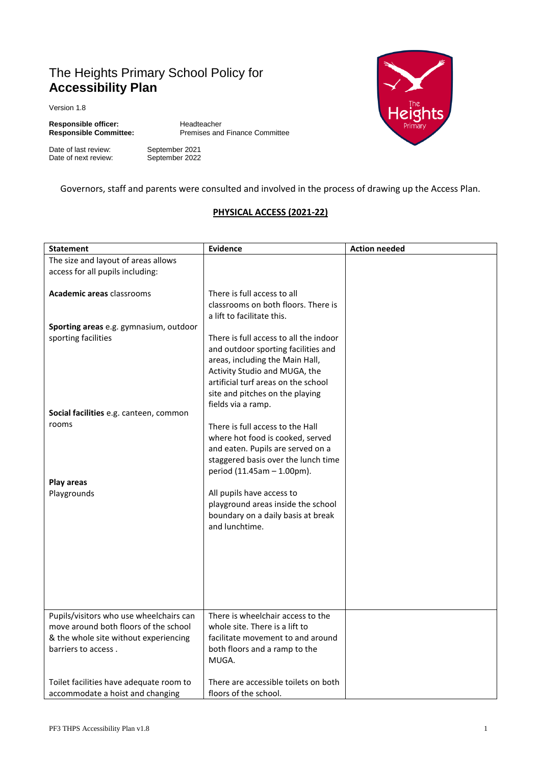# The Heights Primary School Policy for **Accessibility Plan**

Version 1.8

**Responsible officer:** Headteacher<br> **Responsible Committee:** Premises and

**Responsible Committee:** Premises and Finance Committee

Date of last review: September 2021<br>Date of next review: September 2022 Date of next review:



Governors, staff and parents were consulted and involved in the process of drawing up the Access Plan.

### **PHYSICAL ACCESS (2021-22)**

| <b>Statement</b>                        | <b>Evidence</b>                                                      | <b>Action needed</b> |
|-----------------------------------------|----------------------------------------------------------------------|----------------------|
| The size and layout of areas allows     |                                                                      |                      |
| access for all pupils including:        |                                                                      |                      |
|                                         |                                                                      |                      |
| <b>Academic areas classrooms</b>        | There is full access to all                                          |                      |
|                                         | classrooms on both floors. There is                                  |                      |
|                                         | a lift to facilitate this.                                           |                      |
| Sporting areas e.g. gymnasium, outdoor  |                                                                      |                      |
| sporting facilities                     | There is full access to all the indoor                               |                      |
|                                         | and outdoor sporting facilities and                                  |                      |
|                                         | areas, including the Main Hall,                                      |                      |
|                                         | Activity Studio and MUGA, the<br>artificial turf areas on the school |                      |
|                                         | site and pitches on the playing                                      |                      |
|                                         | fields via a ramp.                                                   |                      |
| Social facilities e.g. canteen, common  |                                                                      |                      |
| rooms                                   | There is full access to the Hall                                     |                      |
|                                         | where hot food is cooked, served                                     |                      |
|                                         | and eaten. Pupils are served on a                                    |                      |
|                                         | staggered basis over the lunch time                                  |                      |
|                                         | period (11.45am - 1.00pm).                                           |                      |
| Play areas                              |                                                                      |                      |
| Playgrounds                             | All pupils have access to                                            |                      |
|                                         | playground areas inside the school                                   |                      |
|                                         | boundary on a daily basis at break                                   |                      |
|                                         | and lunchtime.                                                       |                      |
|                                         |                                                                      |                      |
|                                         |                                                                      |                      |
|                                         |                                                                      |                      |
|                                         |                                                                      |                      |
|                                         |                                                                      |                      |
|                                         |                                                                      |                      |
| Pupils/visitors who use wheelchairs can | There is wheelchair access to the                                    |                      |
| move around both floors of the school   | whole site. There is a lift to                                       |                      |
| & the whole site without experiencing   | facilitate movement to and around                                    |                      |
| barriers to access.                     | both floors and a ramp to the                                        |                      |
|                                         | MUGA.                                                                |                      |
|                                         |                                                                      |                      |
| Toilet facilities have adequate room to | There are accessible toilets on both                                 |                      |
| accommodate a hoist and changing        | floors of the school.                                                |                      |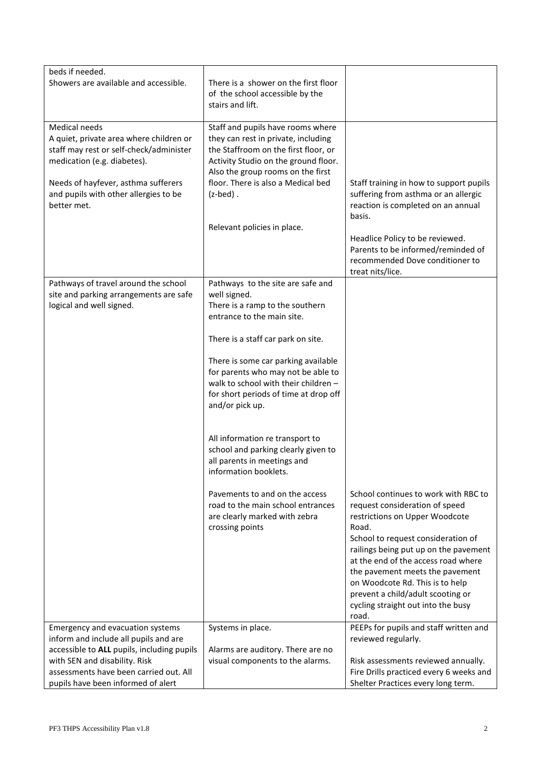| beds if needed.                                                                                                                                                                                                                          |                                                                                                                                                                                                                                                                                                                                                                                                                                                                             |                                                                                                                                                                                                                                                                                                                                                                                                   |
|------------------------------------------------------------------------------------------------------------------------------------------------------------------------------------------------------------------------------------------|-----------------------------------------------------------------------------------------------------------------------------------------------------------------------------------------------------------------------------------------------------------------------------------------------------------------------------------------------------------------------------------------------------------------------------------------------------------------------------|---------------------------------------------------------------------------------------------------------------------------------------------------------------------------------------------------------------------------------------------------------------------------------------------------------------------------------------------------------------------------------------------------|
| Showers are available and accessible.                                                                                                                                                                                                    | There is a shower on the first floor<br>of the school accessible by the<br>stairs and lift.                                                                                                                                                                                                                                                                                                                                                                                 |                                                                                                                                                                                                                                                                                                                                                                                                   |
| Medical needs<br>A quiet, private area where children or<br>staff may rest or self-check/administer<br>medication (e.g. diabetes).<br>Needs of hayfever, asthma sufferers<br>and pupils with other allergies to be<br>better met.        | Staff and pupils have rooms where<br>they can rest in private, including<br>the Staffroom on the first floor, or<br>Activity Studio on the ground floor.<br>Also the group rooms on the first<br>floor. There is also a Medical bed<br>$(z$ -bed $)$ .<br>Relevant policies in place.                                                                                                                                                                                       | Staff training in how to support pupils<br>suffering from asthma or an allergic<br>reaction is completed on an annual<br>basis.<br>Headlice Policy to be reviewed.<br>Parents to be informed/reminded of<br>recommended Dove conditioner to<br>treat nits/lice.                                                                                                                                   |
| Pathways of travel around the school<br>site and parking arrangements are safe<br>logical and well signed.                                                                                                                               | Pathways to the site are safe and<br>well signed.<br>There is a ramp to the southern<br>entrance to the main site.<br>There is a staff car park on site.<br>There is some car parking available<br>for parents who may not be able to<br>walk to school with their children -<br>for short periods of time at drop off<br>and/or pick up.<br>All information re transport to<br>school and parking clearly given to<br>all parents in meetings and<br>information booklets. |                                                                                                                                                                                                                                                                                                                                                                                                   |
|                                                                                                                                                                                                                                          | Pavements to and on the access<br>road to the main school entrances<br>are clearly marked with zebra<br>crossing points                                                                                                                                                                                                                                                                                                                                                     | School continues to work with RBC to<br>request consideration of speed<br>restrictions on Upper Woodcote<br>Road.<br>School to request consideration of<br>railings being put up on the pavement<br>at the end of the access road where<br>the pavement meets the pavement<br>on Woodcote Rd. This is to help<br>prevent a child/adult scooting or<br>cycling straight out into the busy<br>road. |
| Emergency and evacuation systems<br>inform and include all pupils and are<br>accessible to ALL pupils, including pupils<br>with SEN and disability. Risk<br>assessments have been carried out. All<br>pupils have been informed of alert | Systems in place.<br>Alarms are auditory. There are no<br>visual components to the alarms.                                                                                                                                                                                                                                                                                                                                                                                  | PEEPs for pupils and staff written and<br>reviewed regularly.<br>Risk assessments reviewed annually.<br>Fire Drills practiced every 6 weeks and<br>Shelter Practices every long term.                                                                                                                                                                                                             |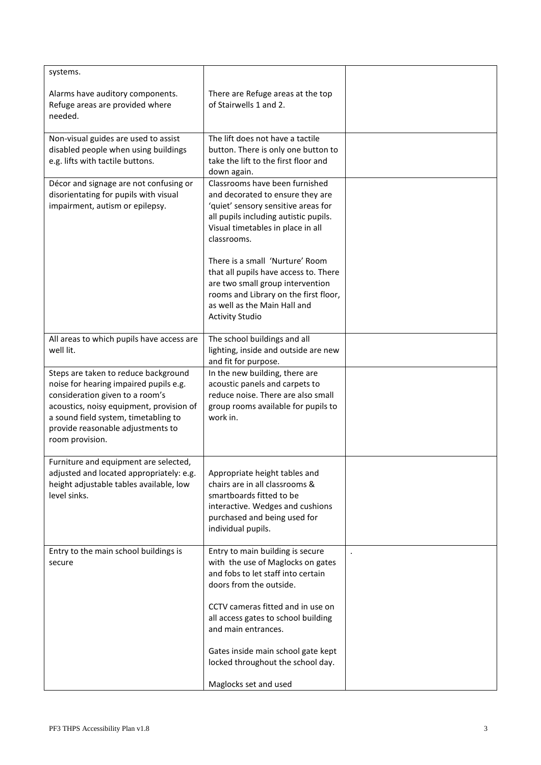| systems.                                                                                                                                                                                                                                                      |                                                                                                                                                                                                                 |  |
|---------------------------------------------------------------------------------------------------------------------------------------------------------------------------------------------------------------------------------------------------------------|-----------------------------------------------------------------------------------------------------------------------------------------------------------------------------------------------------------------|--|
| Alarms have auditory components.<br>Refuge areas are provided where<br>needed.                                                                                                                                                                                | There are Refuge areas at the top<br>of Stairwells 1 and 2.                                                                                                                                                     |  |
| Non-visual guides are used to assist<br>disabled people when using buildings<br>e.g. lifts with tactile buttons.                                                                                                                                              | The lift does not have a tactile<br>button. There is only one button to<br>take the lift to the first floor and<br>down again.                                                                                  |  |
| Décor and signage are not confusing or<br>disorientating for pupils with visual<br>impairment, autism or epilepsy.                                                                                                                                            | Classrooms have been furnished<br>and decorated to ensure they are<br>'quiet' sensory sensitive areas for<br>all pupils including autistic pupils.<br>Visual timetables in place in all<br>classrooms.          |  |
|                                                                                                                                                                                                                                                               | There is a small 'Nurture' Room<br>that all pupils have access to. There<br>are two small group intervention<br>rooms and Library on the first floor,<br>as well as the Main Hall and<br><b>Activity Studio</b> |  |
| All areas to which pupils have access are<br>well lit.                                                                                                                                                                                                        | The school buildings and all<br>lighting, inside and outside are new<br>and fit for purpose.                                                                                                                    |  |
| Steps are taken to reduce background<br>noise for hearing impaired pupils e.g.<br>consideration given to a room's<br>acoustics, noisy equipment, provision of<br>a sound field system, timetabling to<br>provide reasonable adjustments to<br>room provision. | In the new building, there are<br>acoustic panels and carpets to<br>reduce noise. There are also small<br>group rooms available for pupils to<br>work in.                                                       |  |
| Furniture and equipment are selected,<br>adjusted and located appropriately: e.g.<br>height adjustable tables available, low<br>level sinks.                                                                                                                  | Appropriate height tables and<br>chairs are in all classrooms &<br>smartboards fitted to be<br>interactive. Wedges and cushions<br>purchased and being used for<br>individual pupils.                           |  |
| Entry to the main school buildings is<br>secure                                                                                                                                                                                                               | Entry to main building is secure<br>with the use of Maglocks on gates<br>and fobs to let staff into certain<br>doors from the outside.                                                                          |  |
|                                                                                                                                                                                                                                                               | CCTV cameras fitted and in use on<br>all access gates to school building<br>and main entrances.                                                                                                                 |  |
|                                                                                                                                                                                                                                                               | Gates inside main school gate kept<br>locked throughout the school day.                                                                                                                                         |  |
|                                                                                                                                                                                                                                                               | Maglocks set and used                                                                                                                                                                                           |  |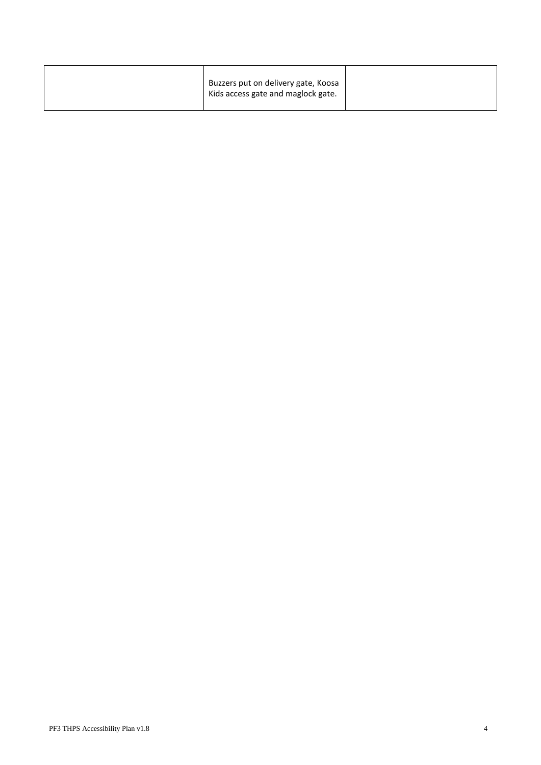| Buzzers put on delivery gate, Koosa<br>Kids access gate and maglock gate. |
|---------------------------------------------------------------------------|
|---------------------------------------------------------------------------|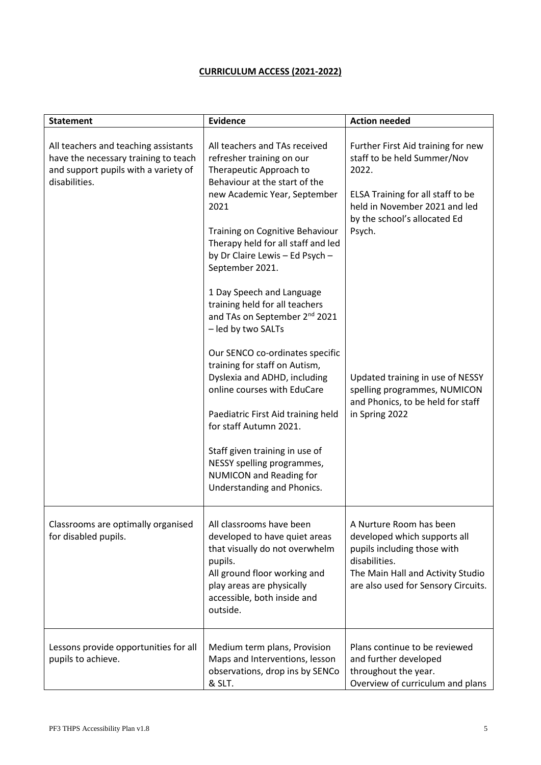## **CURRICULUM ACCESS (2021-2022)**

| <b>Statement</b>                                                                                                                      | <b>Evidence</b>                                                                                                                                                                                                                                                                                                                                                                                    | <b>Action needed</b>                                                                                                                                                                       |
|---------------------------------------------------------------------------------------------------------------------------------------|----------------------------------------------------------------------------------------------------------------------------------------------------------------------------------------------------------------------------------------------------------------------------------------------------------------------------------------------------------------------------------------------------|--------------------------------------------------------------------------------------------------------------------------------------------------------------------------------------------|
| All teachers and teaching assistants<br>have the necessary training to teach<br>and support pupils with a variety of<br>disabilities. | All teachers and TAs received<br>refresher training on our<br>Therapeutic Approach to<br>Behaviour at the start of the<br>new Academic Year, September<br>2021<br>Training on Cognitive Behaviour<br>Therapy held for all staff and led<br>by Dr Claire Lewis - Ed Psych -<br>September 2021.<br>1 Day Speech and Language<br>training held for all teachers                                       | Further First Aid training for new<br>staff to be held Summer/Nov<br>2022.<br>ELSA Training for all staff to be<br>held in November 2021 and led<br>by the school's allocated Ed<br>Psych. |
|                                                                                                                                       | and TAs on September 2 <sup>nd</sup> 2021<br>- led by two SALTs<br>Our SENCO co-ordinates specific<br>training for staff on Autism,<br>Dyslexia and ADHD, including<br>online courses with EduCare<br>Paediatric First Aid training held<br>for staff Autumn 2021.<br>Staff given training in use of<br>NESSY spelling programmes,<br><b>NUMICON and Reading for</b><br>Understanding and Phonics. | Updated training in use of NESSY<br>spelling programmes, NUMICON<br>and Phonics, to be held for staff<br>in Spring 2022                                                                    |
| Classrooms are optimally organised<br>for disabled pupils.                                                                            | All classrooms have been<br>developed to have quiet areas<br>that visually do not overwhelm<br>pupils.<br>All ground floor working and<br>play areas are physically<br>accessible, both inside and<br>outside.                                                                                                                                                                                     | A Nurture Room has been<br>developed which supports all<br>pupils including those with<br>disabilities.<br>The Main Hall and Activity Studio<br>are also used for Sensory Circuits.        |
| Lessons provide opportunities for all<br>pupils to achieve.                                                                           | Medium term plans, Provision<br>Maps and Interventions, lesson<br>observations, drop ins by SENCo<br>& SLT.                                                                                                                                                                                                                                                                                        | Plans continue to be reviewed<br>and further developed<br>throughout the year.<br>Overview of curriculum and plans                                                                         |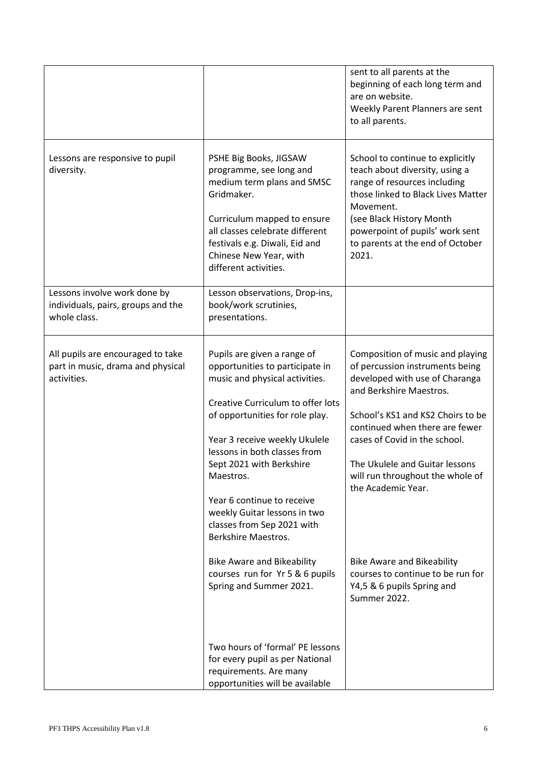|                                                                                       |                                                                                                                                                                                                                                                                                                                                                                                                                                                                                                          | sent to all parents at the<br>beginning of each long term and<br>are on website.<br>Weekly Parent Planners are sent<br>to all parents.                                                                                                                                                                                                                                                                                                       |
|---------------------------------------------------------------------------------------|----------------------------------------------------------------------------------------------------------------------------------------------------------------------------------------------------------------------------------------------------------------------------------------------------------------------------------------------------------------------------------------------------------------------------------------------------------------------------------------------------------|----------------------------------------------------------------------------------------------------------------------------------------------------------------------------------------------------------------------------------------------------------------------------------------------------------------------------------------------------------------------------------------------------------------------------------------------|
| Lessons are responsive to pupil<br>diversity.                                         | PSHE Big Books, JIGSAW<br>programme, see long and<br>medium term plans and SMSC<br>Gridmaker.<br>Curriculum mapped to ensure<br>all classes celebrate different<br>festivals e.g. Diwali, Eid and<br>Chinese New Year, with<br>different activities.                                                                                                                                                                                                                                                     | School to continue to explicitly<br>teach about diversity, using a<br>range of resources including<br>those linked to Black Lives Matter<br>Movement.<br>(see Black History Month<br>powerpoint of pupils' work sent<br>to parents at the end of October<br>2021.                                                                                                                                                                            |
| Lessons involve work done by<br>individuals, pairs, groups and the<br>whole class.    | Lesson observations, Drop-ins,<br>book/work scrutinies,<br>presentations.                                                                                                                                                                                                                                                                                                                                                                                                                                |                                                                                                                                                                                                                                                                                                                                                                                                                                              |
| All pupils are encouraged to take<br>part in music, drama and physical<br>activities. | Pupils are given a range of<br>opportunities to participate in<br>music and physical activities.<br>Creative Curriculum to offer lots<br>of opportunities for role play.<br>Year 3 receive weekly Ukulele<br>lessons in both classes from<br>Sept 2021 with Berkshire<br>Maestros.<br>Year 6 continue to receive<br>weekly Guitar lessons in two<br>classes from Sep 2021 with<br>Berkshire Maestros.<br><b>Bike Aware and Bikeability</b><br>courses run for Yr 5 & 6 pupils<br>Spring and Summer 2021. | Composition of music and playing<br>of percussion instruments being<br>developed with use of Charanga<br>and Berkshire Maestros.<br>School's KS1 and KS2 Choirs to be<br>continued when there are fewer<br>cases of Covid in the school.<br>The Ukulele and Guitar lessons<br>will run throughout the whole of<br>the Academic Year.<br><b>Bike Aware and Bikeability</b><br>courses to continue to be run for<br>Y4,5 & 6 pupils Spring and |
|                                                                                       | Two hours of 'formal' PE lessons<br>for every pupil as per National<br>requirements. Are many<br>opportunities will be available                                                                                                                                                                                                                                                                                                                                                                         | Summer 2022.                                                                                                                                                                                                                                                                                                                                                                                                                                 |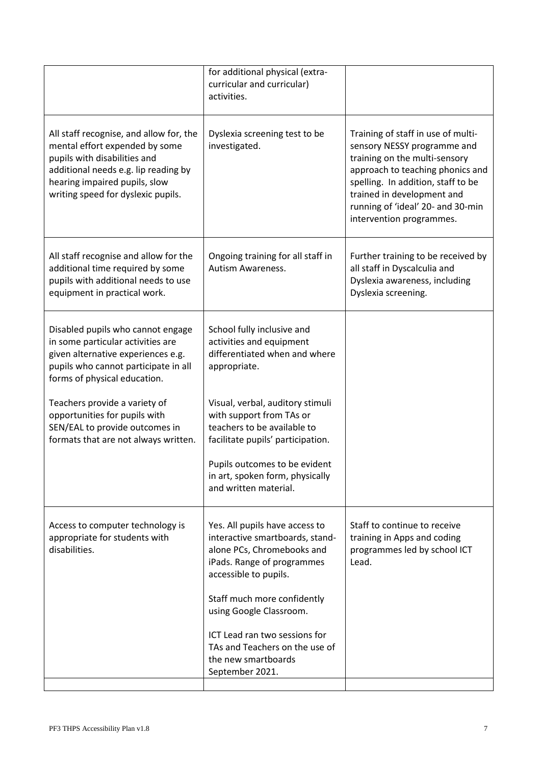|                                                                                                                                                                                                                          | for additional physical (extra-<br>curricular and curricular)<br>activities.                                                                           |                                                                                                                                                                                                                                                                             |
|--------------------------------------------------------------------------------------------------------------------------------------------------------------------------------------------------------------------------|--------------------------------------------------------------------------------------------------------------------------------------------------------|-----------------------------------------------------------------------------------------------------------------------------------------------------------------------------------------------------------------------------------------------------------------------------|
| All staff recognise, and allow for, the<br>mental effort expended by some<br>pupils with disabilities and<br>additional needs e.g. lip reading by<br>hearing impaired pupils, slow<br>writing speed for dyslexic pupils. | Dyslexia screening test to be<br>investigated.                                                                                                         | Training of staff in use of multi-<br>sensory NESSY programme and<br>training on the multi-sensory<br>approach to teaching phonics and<br>spelling. In addition, staff to be<br>trained in development and<br>running of 'ideal' 20- and 30-min<br>intervention programmes. |
| All staff recognise and allow for the<br>additional time required by some<br>pupils with additional needs to use<br>equipment in practical work.                                                                         | Ongoing training for all staff in<br><b>Autism Awareness.</b>                                                                                          | Further training to be received by<br>all staff in Dyscalculia and<br>Dyslexia awareness, including<br>Dyslexia screening.                                                                                                                                                  |
| Disabled pupils who cannot engage<br>in some particular activities are<br>given alternative experiences e.g.<br>pupils who cannot participate in all<br>forms of physical education.                                     | School fully inclusive and<br>activities and equipment<br>differentiated when and where<br>appropriate.                                                |                                                                                                                                                                                                                                                                             |
| Teachers provide a variety of<br>opportunities for pupils with<br>SEN/EAL to provide outcomes in<br>formats that are not always written.                                                                                 | Visual, verbal, auditory stimuli<br>with support from TAs or<br>teachers to be available to<br>facilitate pupils' participation.                       |                                                                                                                                                                                                                                                                             |
|                                                                                                                                                                                                                          | Pupils outcomes to be evident<br>in art, spoken form, physically<br>and written material.                                                              |                                                                                                                                                                                                                                                                             |
| Access to computer technology is<br>appropriate for students with<br>disabilities.                                                                                                                                       | Yes. All pupils have access to<br>interactive smartboards, stand-<br>alone PCs, Chromebooks and<br>iPads. Range of programmes<br>accessible to pupils. | Staff to continue to receive<br>training in Apps and coding<br>programmes led by school ICT<br>Lead.                                                                                                                                                                        |
|                                                                                                                                                                                                                          | Staff much more confidently<br>using Google Classroom.                                                                                                 |                                                                                                                                                                                                                                                                             |
|                                                                                                                                                                                                                          | ICT Lead ran two sessions for<br>TAs and Teachers on the use of<br>the new smartboards<br>September 2021.                                              |                                                                                                                                                                                                                                                                             |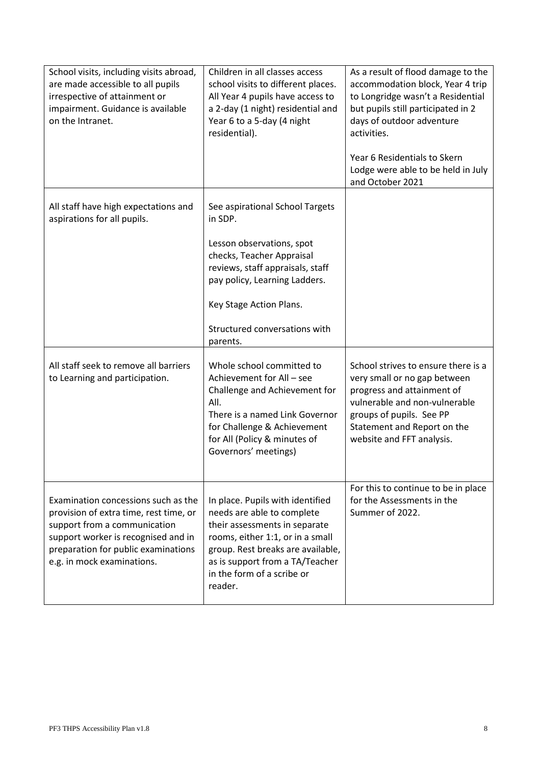| School visits, including visits abroad,<br>are made accessible to all pupils<br>irrespective of attainment or<br>impairment. Guidance is available<br>on the Intranet.                                                    | Children in all classes access<br>school visits to different places.<br>All Year 4 pupils have access to<br>a 2-day (1 night) residential and<br>Year 6 to a 5-day (4 night<br>residential).                                                         | As a result of flood damage to the<br>accommodation block, Year 4 trip<br>to Longridge wasn't a Residential<br>but pupils still participated in 2<br>days of outdoor adventure<br>activities.<br>Year 6 Residentials to Skern |
|---------------------------------------------------------------------------------------------------------------------------------------------------------------------------------------------------------------------------|------------------------------------------------------------------------------------------------------------------------------------------------------------------------------------------------------------------------------------------------------|-------------------------------------------------------------------------------------------------------------------------------------------------------------------------------------------------------------------------------|
|                                                                                                                                                                                                                           |                                                                                                                                                                                                                                                      | Lodge were able to be held in July<br>and October 2021                                                                                                                                                                        |
| All staff have high expectations and<br>aspirations for all pupils.                                                                                                                                                       | See aspirational School Targets<br>in SDP.                                                                                                                                                                                                           |                                                                                                                                                                                                                               |
|                                                                                                                                                                                                                           | Lesson observations, spot<br>checks, Teacher Appraisal<br>reviews, staff appraisals, staff<br>pay policy, Learning Ladders.                                                                                                                          |                                                                                                                                                                                                                               |
|                                                                                                                                                                                                                           | Key Stage Action Plans.                                                                                                                                                                                                                              |                                                                                                                                                                                                                               |
|                                                                                                                                                                                                                           | Structured conversations with<br>parents.                                                                                                                                                                                                            |                                                                                                                                                                                                                               |
| All staff seek to remove all barriers<br>to Learning and participation.                                                                                                                                                   | Whole school committed to<br>Achievement for All - see<br>Challenge and Achievement for<br>All.<br>There is a named Link Governor<br>for Challenge & Achievement<br>for All (Policy & minutes of<br>Governors' meetings)                             | School strives to ensure there is a<br>very small or no gap between<br>progress and attainment of<br>vulnerable and non-vulnerable<br>groups of pupils. See PP<br>Statement and Report on the<br>website and FFT analysis.    |
| Examination concessions such as the<br>provision of extra time, rest time, or<br>support from a communication<br>support worker is recognised and in<br>preparation for public examinations<br>e.g. in mock examinations. | In place. Pupils with identified<br>needs are able to complete<br>their assessments in separate<br>rooms, either 1:1, or in a small<br>group. Rest breaks are available,<br>as is support from a TA/Teacher<br>in the form of a scribe or<br>reader. | For this to continue to be in place<br>for the Assessments in the<br>Summer of 2022.                                                                                                                                          |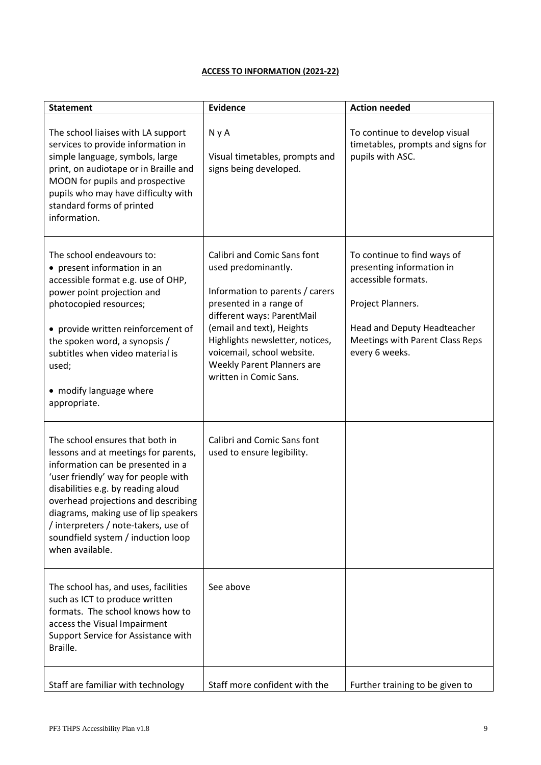### **ACCESS TO INFORMATION (2021-22)**

| <b>Statement</b>                                                                                                                                                                                                                                                                                                                                                          | <b>Evidence</b>                                                                                                                                                                                                                                                                                             | <b>Action needed</b>                                                                                                                                                                     |
|---------------------------------------------------------------------------------------------------------------------------------------------------------------------------------------------------------------------------------------------------------------------------------------------------------------------------------------------------------------------------|-------------------------------------------------------------------------------------------------------------------------------------------------------------------------------------------------------------------------------------------------------------------------------------------------------------|------------------------------------------------------------------------------------------------------------------------------------------------------------------------------------------|
| The school liaises with LA support<br>services to provide information in<br>simple language, symbols, large<br>print, on audiotape or in Braille and<br>MOON for pupils and prospective<br>pupils who may have difficulty with<br>standard forms of printed<br>information.                                                                                               | N y A<br>Visual timetables, prompts and<br>signs being developed.                                                                                                                                                                                                                                           | To continue to develop visual<br>timetables, prompts and signs for<br>pupils with ASC.                                                                                                   |
| The school endeavours to:<br>• present information in an<br>accessible format e.g. use of OHP,<br>power point projection and<br>photocopied resources;<br>• provide written reinforcement of<br>the spoken word, a synopsis /<br>subtitles when video material is<br>used;<br>• modify language where<br>appropriate.                                                     | Calibri and Comic Sans font<br>used predominantly.<br>Information to parents / carers<br>presented in a range of<br>different ways: ParentMail<br>(email and text), Heights<br>Highlights newsletter, notices,<br>voicemail, school website.<br><b>Weekly Parent Planners are</b><br>written in Comic Sans. | To continue to find ways of<br>presenting information in<br>accessible formats.<br>Project Planners.<br>Head and Deputy Headteacher<br>Meetings with Parent Class Reps<br>every 6 weeks. |
| The school ensures that both in<br>lessons and at meetings for parents,<br>information can be presented in a<br>'user friendly' way for people with<br>disabilities e.g. by reading aloud<br>overhead projections and describing<br>diagrams, making use of lip speakers<br>/ interpreters / note-takers, use of<br>soundfield system / induction loop<br>when available. | Calibri and Comic Sans font<br>used to ensure legibility.                                                                                                                                                                                                                                                   |                                                                                                                                                                                          |
| The school has, and uses, facilities<br>such as ICT to produce written<br>formats. The school knows how to<br>access the Visual Impairment<br>Support Service for Assistance with<br>Braille.                                                                                                                                                                             | See above                                                                                                                                                                                                                                                                                                   |                                                                                                                                                                                          |
| Staff are familiar with technology                                                                                                                                                                                                                                                                                                                                        | Staff more confident with the                                                                                                                                                                                                                                                                               | Further training to be given to                                                                                                                                                          |